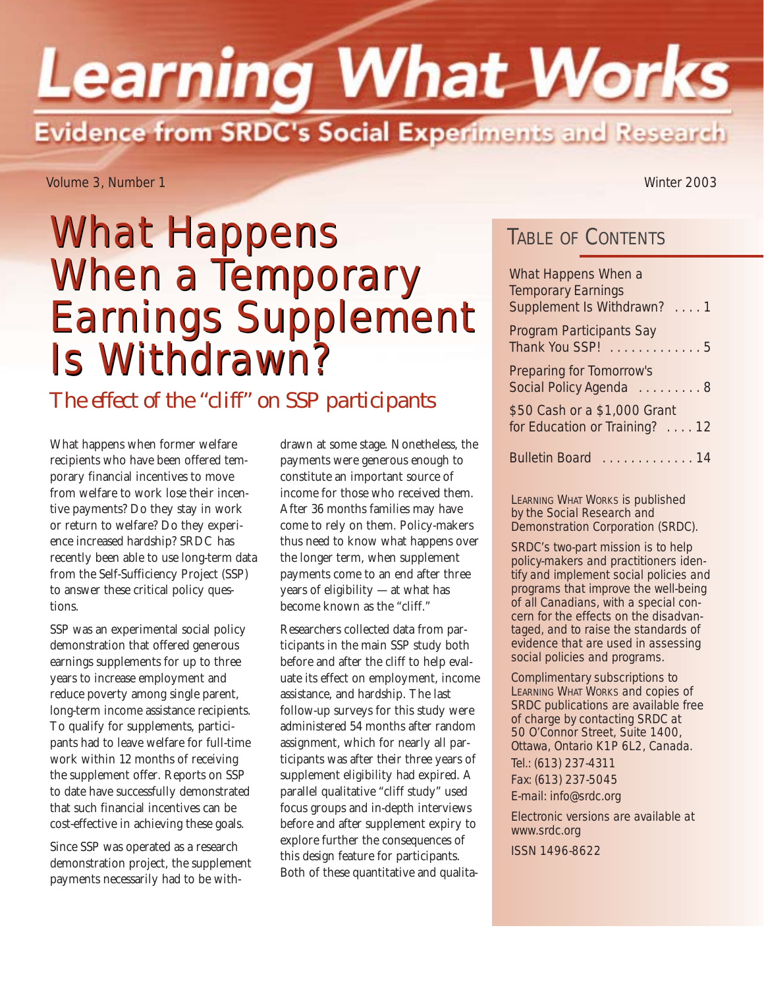# **Learning What Works Evidence from SRDC's Social Experiments and Research**

Volume 3, Number 1 Winter 2003

# What Happens **TABLE OF CONTENTS** When a Temporary When a Temporary Earnings Supplement Earnings Supplement Is Withdrawn? Is Withdrawn?

*The effect of the "cliff" on SSP participants*

What happens when former welfare recipients who have been offered temporary financial incentives to move from welfare to work lose their incentive payments? Do they stay in work or return to welfare? Do they experience increased hardship? SRDC has recently been able to use long-term data from the Self-Sufficiency Project (SSP) to answer these critical policy questions.

SSP was an experimental social policy demonstration that offered generous earnings supplements for up to three years to increase employment and reduce poverty among single parent, long-term income assistance recipients. To qualify for supplements, participants had to leave welfare for full-time work within 12 months of receiving the supplement offer. Reports on SSP to date have successfully demonstrated that such financial incentives can be cost-effective in achieving these goals.

Since SSP was operated as a research demonstration project, the supplement payments necessarily had to be withdrawn at some stage. Nonetheless, the payments were generous enough to constitute an important source of income for those who received them. After 36 months families may have come to rely on them. Policy-makers thus need to know what happens over the longer term, when supplement payments come to an end after three years of eligibility — at what has become known as the "cliff."

Researchers collected data from participants in the main SSP study both before and after the cliff to help evaluate its effect on employment, income assistance, and hardship. The last follow-up surveys for this study were administered 54 months after random assignment, which for nearly all participants was after their three years of supplement eligibility had expired. A parallel qualitative "cliff study" used focus groups and in-depth interviews before and after supplement expiry to explore further the consequences of this design feature for participants. Both of these quantitative and qualita-

| What Happens When a                                           |  |
|---------------------------------------------------------------|--|
| <b>Temporary Earnings</b><br>Supplement Is Withdrawn? 1       |  |
| Program Participants Say<br>Thank You SSP! 5                  |  |
| <b>Preparing for Tomorrow's</b><br>Social Policy Agenda 8     |  |
| \$50 Cash or a \$1,000 Grant<br>for Education or Training? 12 |  |
| Bulletin Board  14                                            |  |

LEARNING WHAT WORKS is published by the Social Research and Demonstration Corporation (SRDC).

SRDC's two-part mission is to help policy-makers and practitioners identify and implement social policies and programs that improve the well-being of all Canadians, with a special concern for the effects on the disadvantaged, and to raise the standards of evidence that are used in assessing social policies and programs.

Complimentary subscriptions to LEARNING WHAT WORKS and copies of SRDC publications are available free of charge by contacting SRDC at 50 O'Connor Street, Suite 1400, Ottawa, Ontario K1P 6L2, Canada. Tel.: (613) 237-4311 Fax: (613) 237-5045 E-mail: info@srdc.org

Electronic versions are available at www.srdc.org

ISSN 1496-8622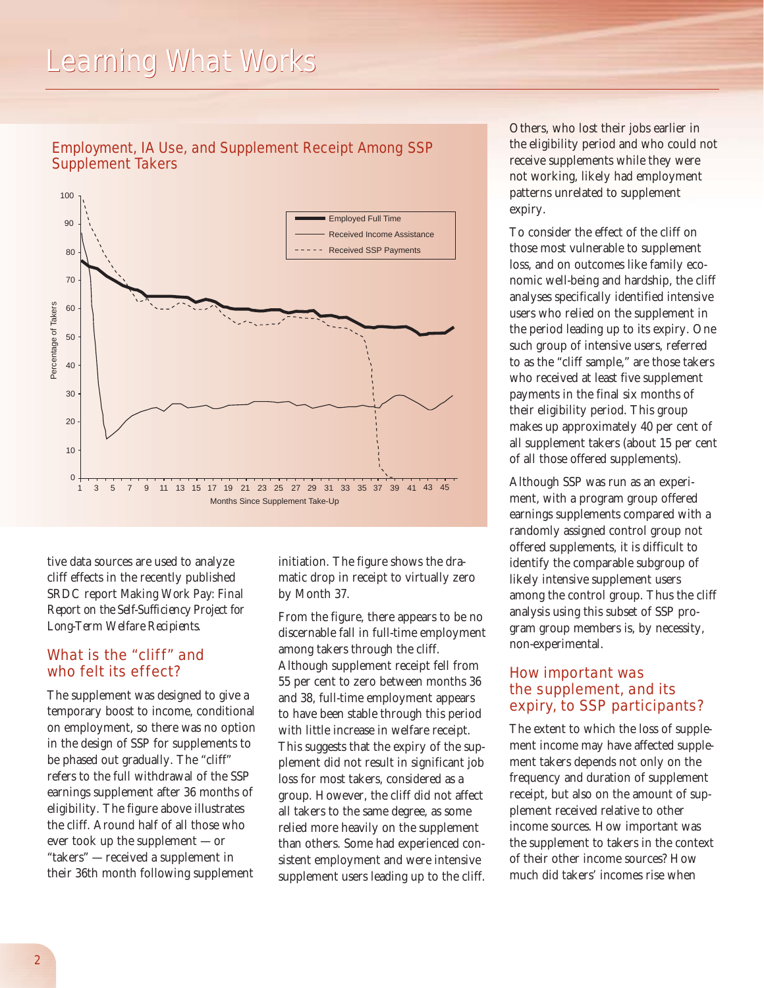### *Learning What Works*





tive data sources are used to analyze cliff effects in the recently published SRDC report *Making Work Pay: Final Report on the Self-Sufficiency Project for Long-Term Welfare Recipients.*

#### What is the "cliff" and who felt its effect?

The supplement was designed to give a temporary boost to income, conditional on employment, so there was no option in the design of SSP for supplements to be phased out gradually. The "cliff" refers to the full withdrawal of the SSP earnings supplement after 36 months of eligibility. The figure above illustrates the cliff. Around half of all those who ever took up the supplement — or "takers" — received a supplement in their 36th month following supplement

initiation. The figure shows the dramatic drop in receipt to virtually zero by Month 37.

From the figure, there appears to be no discernable fall in full-time employment among takers through the cliff. Although supplement receipt fell from 55 per cent to zero between months 36 and 38, full-time employment appears to have been stable through this period with little increase in welfare receipt. This suggests that the expiry of the supplement did not result in significant job loss for most takers, considered as a group. However, the cliff did not affect all takers to the same degree, as some relied more heavily on the supplement than others. Some had experienced consistent employment and were intensive supplement users leading up to the cliff.

Others, who lost their jobs earlier in the eligibility period and who could not receive supplements while they were not working, likely had employment patterns unrelated to supplement expiry.

To consider the effect of the cliff on those most vulnerable to supplement loss, and on outcomes like family economic well-being and hardship, the cliff analyses specifically identified intensive users who relied on the supplement in the period leading up to its expiry. One such group of intensive users, referred to as the "cliff sample," are those takers who received at least five supplement payments in the final six months of their eligibility period. This group makes up approximately 40 per cent of all supplement takers (about 15 per cent of all those offered supplements).

Although SSP was run as an experiment, with a program group offered earnings supplements compared with a randomly assigned control group not offered supplements, it is difficult to identify the comparable subgroup of likely intensive supplement users among the control group. Thus the cliff analysis using this subset of SSP program group members is, by necessity, non-experimental.

#### How important was the supplement, and its expiry, to SSP participants?

The extent to which the loss of supplement income may have affected supplement takers depends not only on the frequency and duration of supplement receipt, but also on the amount of supplement received relative to other income sources. How important was the supplement to takers in the context of their other income sources? How much did takers' incomes rise when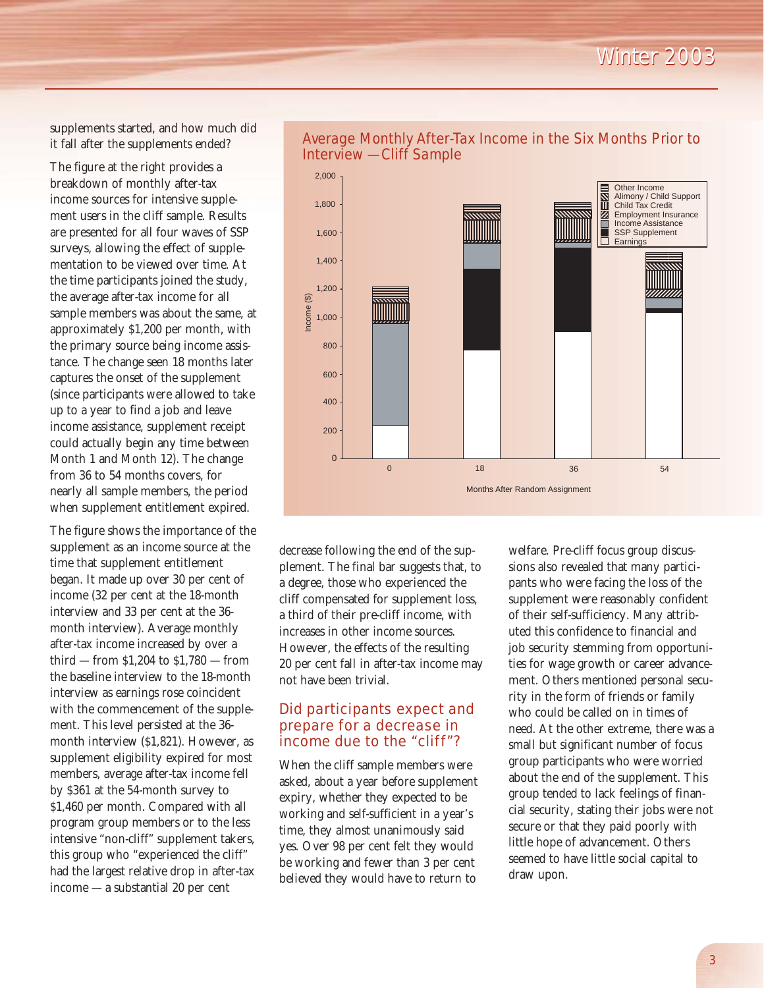supplements started, and how much did it fall after the supplements ended?

The figure at the right provides a breakdown of monthly after-tax income sources for intensive supplement users in the cliff sample. Results are presented for all four waves of SSP surveys, allowing the effect of supplementation to be viewed over time. At the time participants joined the study, the average after-tax income for all sample members was about the same, at approximately \$1,200 per month, with the primary source being income assistance. The change seen 18 months later captures the onset of the supplement (since participants were allowed to take up to a year to find a job and leave income assistance, supplement receipt could actually begin any time between Month 1 and Month 12). The change from 36 to 54 months covers, for nearly all sample members, the period when supplement entitlement expired.

The figure shows the importance of the supplement as an income source at the time that supplement entitlement began. It made up over 30 per cent of income (32 per cent at the 18-month interview and 33 per cent at the 36 month interview). Average monthly after-tax income increased by over a third — from \$1,204 to \$1,780 — from the baseline interview to the 18-month interview as earnings rose coincident with the commencement of the supplement. This level persisted at the 36 month interview (\$1,821). However, as supplement eligibility expired for most members, average after-tax income fell by \$361 at the 54-month survey to \$1,460 per month. Compared with all program group members or to the less intensive "non-cliff" supplement takers, this group who "experienced the cliff" had the largest relative drop in after-tax income — a substantial 20 per cent



#### Average Monthly After-Tax Income in the Six Months Prior to Interview — Cliff Sample

decrease following the end of the supplement. The final bar suggests that, to a degree, those who experienced the cliff compensated for supplement loss, a third of their pre-cliff income, with increases in other income sources. However, the effects of the resulting 20 per cent fall in after-tax income may not have been trivial.

#### Did participants expect and prepare for a decrease in income due to the "cliff"?

When the cliff sample members were asked, about a year before supplement expiry, whether they expected to be working and self-sufficient in a year's time, they almost unanimously said yes. Over 98 per cent felt they would be working and fewer than 3 per cent believed they would have to return to

welfare. Pre-cliff focus group discussions also revealed that many participants who were facing the loss of the supplement were reasonably confident of their self-sufficiency. Many attributed this confidence to financial and job security stemming from opportunities for wage growth or career advancement. Others mentioned personal security in the form of friends or family who could be called on in times of need. At the other extreme, there was a small but significant number of focus group participants who were worried about the end of the supplement. This group tended to lack feelings of financial security, stating their jobs were not secure or that they paid poorly with little hope of advancement. Others seemed to have little social capital to draw upon.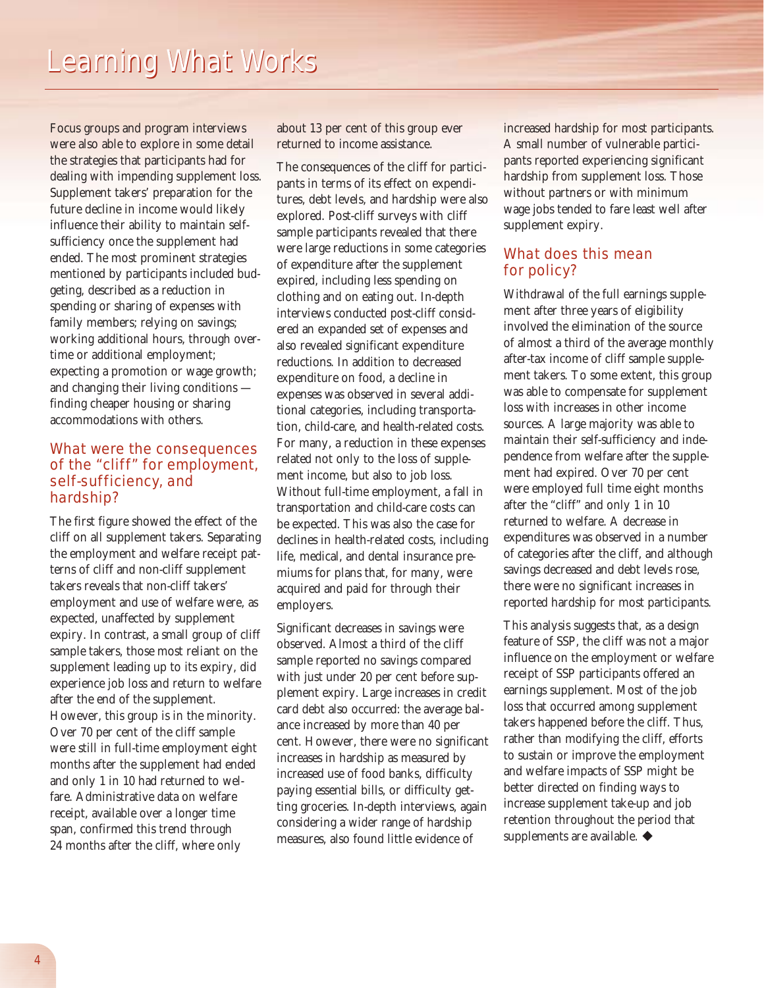Focus groups and program interviews were also able to explore in some detail the strategies that participants had for dealing with impending supplement loss. Supplement takers' preparation for the future decline in income would likely influence their ability to maintain selfsufficiency once the supplement had ended. The most prominent strategies mentioned by participants included budgeting, described as a reduction in spending or sharing of expenses with family members; relying on savings; working additional hours, through overtime or additional employment; expecting a promotion or wage growth; and changing their living conditions finding cheaper housing or sharing accommodations with others.

#### What were the consequences of the "cliff" for employment, self-sufficiency, and hardship?

The first figure showed the effect of the cliff on all supplement takers. Separating the employment and welfare receipt patterns of cliff and non-cliff supplement takers reveals that non-cliff takers' employment and use of welfare were, as expected, unaffected by supplement expiry. In contrast, a small group of cliff sample takers, those most reliant on the supplement leading up to its expiry, did experience job loss and return to welfare after the end of the supplement. However, this group is in the minority. Over 70 per cent of the cliff sample were still in full-time employment eight months after the supplement had ended and only 1 in 10 had returned to welfare. Administrative data on welfare receipt, available over a longer time span, confirmed this trend through 24 months after the cliff, where only

about 13 per cent of this group ever returned to income assistance.

The consequences of the cliff for participants in terms of its effect on expenditures, debt levels, and hardship were also explored. Post-cliff surveys with cliff sample participants revealed that there were large reductions in some categories of expenditure after the supplement expired, including less spending on clothing and on eating out. In-depth interviews conducted post-cliff considered an expanded set of expenses and also revealed significant expenditure reductions. In addition to decreased expenditure on food, a decline in expenses was observed in several additional categories, including transportation, child-care, and health-related costs. For many, a reduction in these expenses related not only to the loss of supplement income, but also to job loss. Without full-time employment, a fall in transportation and child-care costs can be expected. This was also the case for declines in health-related costs, including life, medical, and dental insurance premiums for plans that, for many, were acquired and paid for through their employers.

Significant decreases in savings were observed. Almost a third of the cliff sample reported no savings compared with just under 20 per cent before supplement expiry. Large increases in credit card debt also occurred: the average balance increased by more than 40 per cent. However, there were no significant increases in hardship as measured by increased use of food banks, difficulty paying essential bills, or difficulty getting groceries. In-depth interviews, again considering a wider range of hardship measures, also found little evidence of

increased hardship for most participants. A small number of vulnerable participants reported experiencing significant hardship from supplement loss. Those without partners or with minimum wage jobs tended to fare least well after supplement expiry.

#### What does this mean for policy?

Withdrawal of the full earnings supplement after three years of eligibility involved the elimination of the source of almost a third of the average monthly after-tax income of cliff sample supplement takers. To some extent, this group was able to compensate for supplement loss with increases in other income sources. A large majority was able to maintain their self-sufficiency and independence from welfare after the supplement had expired. Over 70 per cent were employed full time eight months after the "cliff" and only 1 in 10 returned to welfare. A decrease in expenditures was observed in a number of categories after the cliff, and although savings decreased and debt levels rose, there were no significant increases in reported hardship for most participants.

This analysis suggests that, as a design feature of SSP, the cliff was not a major influence on the employment or welfare receipt of SSP participants offered an earnings supplement. Most of the job loss that occurred among supplement takers happened before the cliff. Thus, rather than modifying the cliff, efforts to sustain or improve the employment and welfare impacts of SSP might be better directed on finding ways to increase supplement take-up and job retention throughout the period that supplements are available.  $\blacklozenge$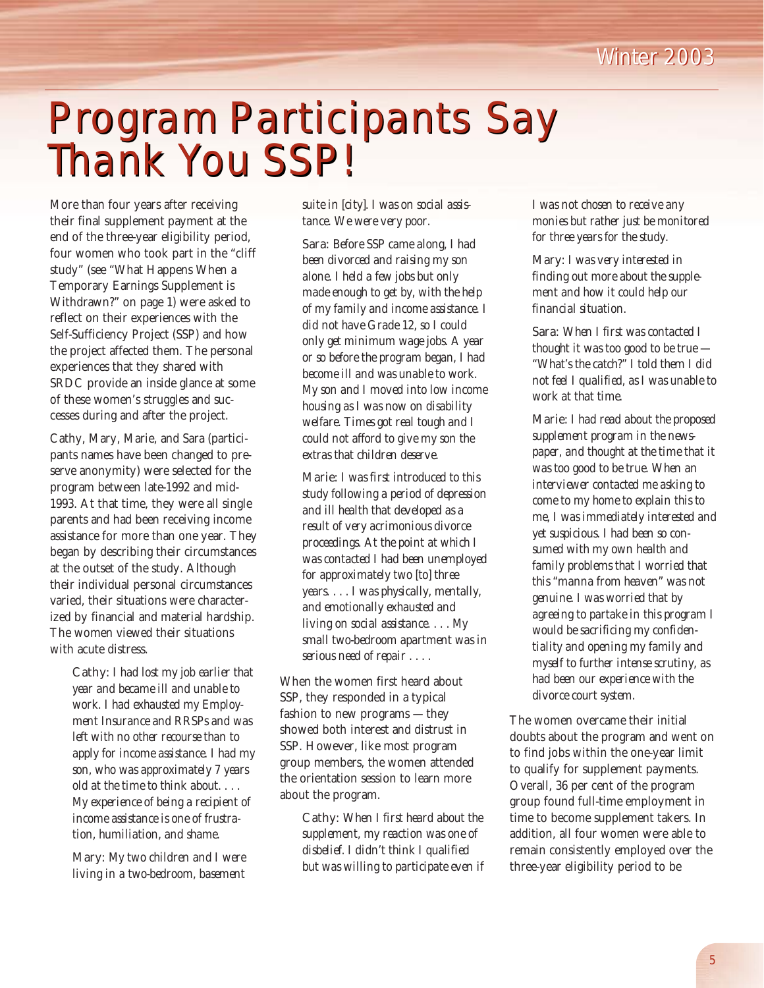

### Program Participants Say Program Participants Say Thank You SSP! Thank You SSP!

More than four years after receiving their final supplement payment at the end of the three-year eligibility period, four women who took part in the "cliff study" (see "What Happens When a Temporary Earnings Supplement is Withdrawn?" on page 1) were asked to reflect on their experiences with the Self-Sufficiency Project (SSP) and how the project affected them. The personal experiences that they shared with SRDC provide an inside glance at some of these women's struggles and successes during and after the project.

Cathy, Mary, Marie, and Sara (participants names have been changed to preserve anonymity) were selected for the program between late-1992 and mid-1993. At that time, they were all single parents and had been receiving income assistance for more than one year. They began by describing their circumstances at the outset of the study. Although their individual personal circumstances varied, their situations were characterized by financial and material hardship. The women viewed their situations with acute distress.

> Cathy: *I had lost my job earlier that year and became ill and unable to work. I had exhausted my Employment Insurance and RRSPs and was left with no other recourse than to apply for income assistance. I had my son, who was approximately 7 years old at the time to think about. . . . My experience of being a recipient of income assistance is one of frustration, humiliation, and shame.*

Mary: *My two children and I were living in a two-bedroom, basement* *suite in [city]. I was on social assistance. We were very poor.*

Sara: *Before SSP came along, I had been divorced and raising my son alone. I held a few jobs but only made enough to get by, with the help of my family and income assistance. I did not have Grade 12, so I could only get minimum wage jobs. A year or so before the program began, I had become ill and was unable to work. My son and I moved into low income housing as I was now on disability welfare. Times got real tough and I could not afford to give my son the extras that children deserve.*

Marie: *I was first introduced to this study following a period of depression and ill health that developed as a result of very acrimonious divorce proceedings. At the point at which I was contacted I had been unemployed for approximately two [to] three years. . . . I was physically, mentally, and emotionally exhausted and living on social assistance. . . . My small two-bedroom apartment was in serious need of repair . . . .* 

When the women first heard about SSP, they responded in a typical fashion to new programs — they showed both interest and distrust in SSP. However, like most program group members, the women attended the orientation session to learn more about the program.

Cathy: *When I first heard about the supplement, my reaction was one of disbelief. I didn't think I qualified but was willing to participate even if* *I was not chosen to receive any monies but rather just be monitored for three years for the study.*

Mary: *I was very interested in finding out more about the supplement and how it could help our financial situation.*

Sara: *When I first was contacted I thought it was too good to be true — "What's the catch?" I told them I did not feel I qualified, as I was unable to work at that time.* 

Marie: *I had read about the proposed supplement program in the newspaper, and thought at the time that it was too good to be true. When an interviewer contacted me asking to come to my home to explain this to me, I was immediately interested and yet suspicious. I had been so consumed with my own health and family problems that I worried that this "manna from heaven" was not genuine. I was worried that by agreeing to partake in this program I would be sacrificing my confidentiality and opening my family and myself to further intense scrutiny, as had been our experience with the divorce court system.* 

The women overcame their initial doubts about the program and went on to find jobs within the one-year limit to qualify for supplement payments. Overall, 36 per cent of the program group found full-time employment in time to become supplement takers. In addition, all four women were able to remain consistently employed over the three-year eligibility period to be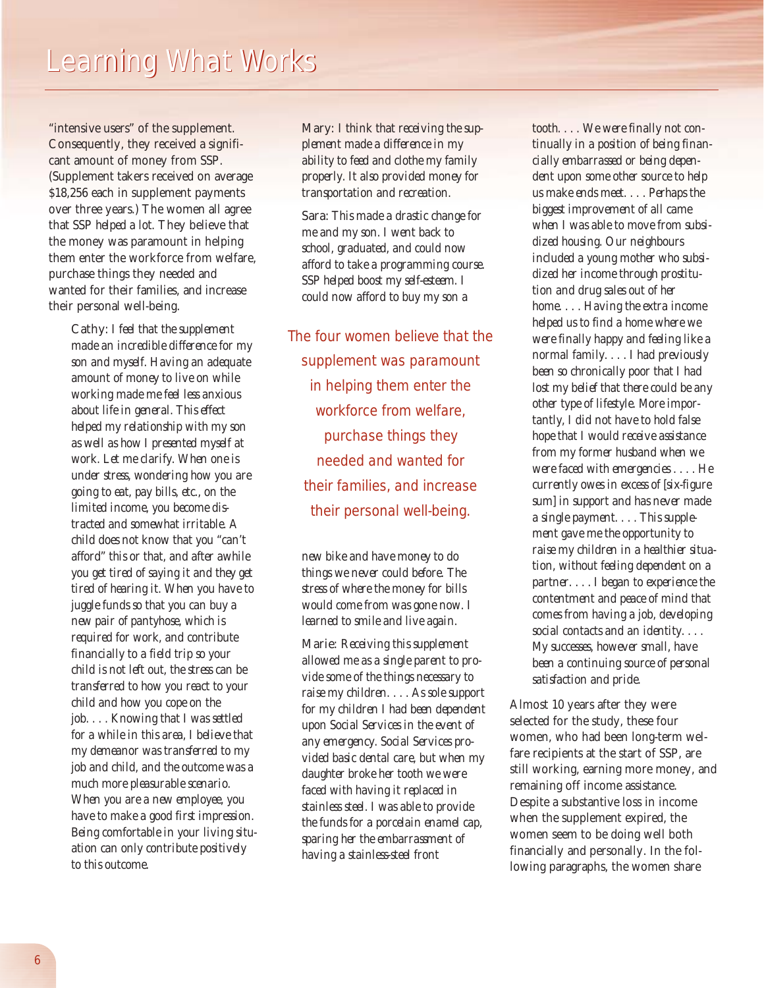"intensive users" of the supplement. Consequently, they received a significant amount of money from SSP. (Supplement takers received on average \$18,256 each in supplement payments over three years.) The women all agree that SSP *helped a lot*. They believe that the money was paramount in helping them enter the workforce from welfare, purchase things they needed and wanted for their families, and increase their personal well-being.

> Cathy: *I feel that the supplement made an incredible difference for my son and myself. Having an adequate amount of money to live on while working made me feel less anxious about life in general. This effect helped my relationship with my son as well as how I presented myself at work. Let me clarify. When one is under stress, wondering how you are going to eat, pay bills, etc., on the limited income, you become distracted and somewhat irritable. A child does not know that you "can't afford" this or that, and after awhile you get tired of saying it and they get tired of hearing it. When you have to juggle funds so that you can buy a new pair of pantyhose, which is required for work, and contribute financially to a field trip so your child is not left out, the stress can be transferred to how you react to your child and how you cope on the job. . . . Knowing that I was settled for a while in this area, I believe that my demeanor was transferred to my job and child, and the outcome was a much more pleasurable scenario. When you are a new employee, you have to make a good first impression. Being comfortable in your living situation can only contribute positively to this outcome.*

Mary: *I think that receiving the supplement made a difference in my ability to feed and clothe my family properly. It also provided money for transportation and recreation.*

Sara: *This made a drastic change for me and my son. I went back to school, graduated, and could now afford to take a programming course. SSP helped boost my self-esteem. I could now afford to buy my son a*

*The four women believe that the supplement was paramount in helping them enter the workforce from welfare, purchase things they needed and wanted for their families, and increase their personal well-being.*

*new bike and have money to do things we never could before. The stress of where the money for bills would come from was gone now. I learned to smile and live again.* 

Marie: *Receiving this supplement allowed me as a single parent to provide some of the things necessary to raise my children. . . . As sole support for my children I had been dependent upon Social Services in the event of any emergency. Social Services provided basic dental care, but when my daughter broke her tooth we were faced with having it replaced in stainless steel. I was able to provide the funds for a porcelain enamel cap, sparing her the embarrassment of having a stainless-steel front* 

*tooth. . . . We were finally not continually in a position of being financially embarrassed or being dependent upon some other source to help us make ends meet. . . . Perhaps the biggest improvement of all came when I was able to move from subsidized housing. Our neighbours included a young mother who subsidized her income through prostitution and drug sales out of her home. . . . Having the extra income helped us to find a home where we were finally happy and feeling like a normal family. . . . I had previously been so chronically poor that I had lost my belief that there could be any other type of lifestyle. More importantly, I did not have to hold false hope that I would receive assistance from my former husband when we were faced with emergencies . . . . He currently owes in excess of [six-figure sum] in support and has never made a single payment. . . . This supplement gave me the opportunity to raise my children in a healthier situation, without feeling dependent on a partner. . . . I began to experience the contentment and peace of mind that comes from having a job, developing social contacts and an identity. . . . My successes, however small, have been a continuing source of personal satisfaction and pride.*

Almost 10 years after they were selected for the study, these four women, who had been long-term welfare recipients at the start of SSP, are still working, earning more money, and remaining off income assistance. Despite a substantive loss in income when the supplement expired, the women seem to be doing well both financially and personally. In the following paragraphs, the women share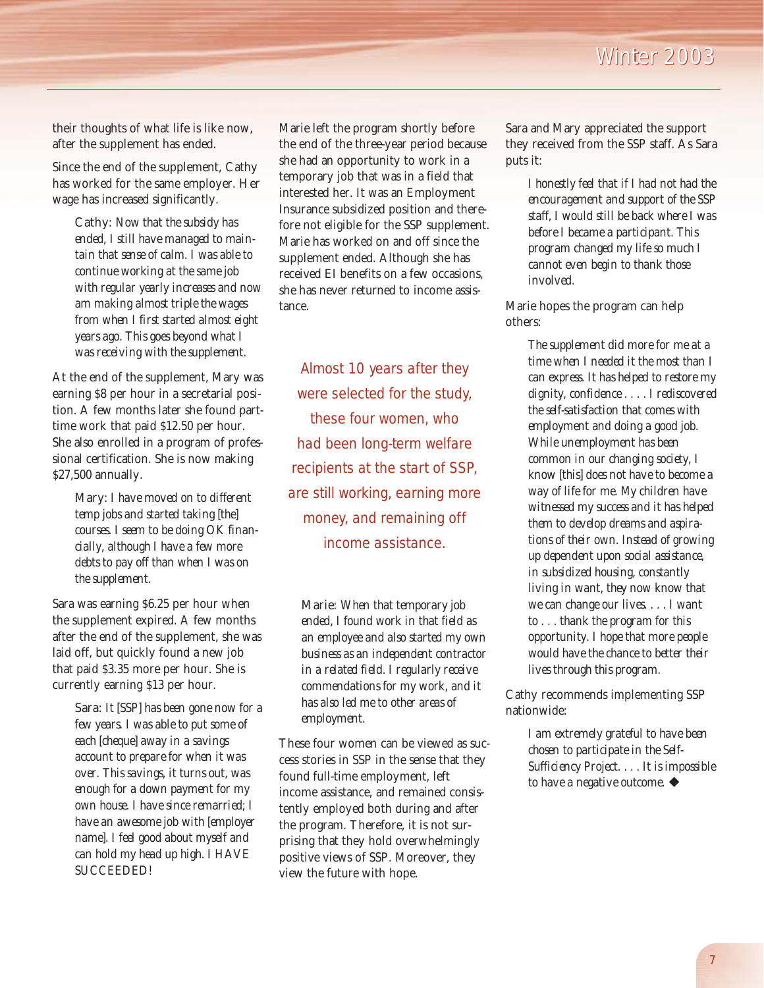their thoughts of what life is like now, after the supplement has ended.

Since the end of the supplement, Cathy has worked for the same employer. Her wage has increased significantly.

> Cathy: *Now that the subsidy has ended, I still have managed to maintain that sense of calm. I was able to continue working at the same job with regular yearly increases and now am making almost triple the wages from when I first started almost eight years ago. This goes beyond what I was receiving with the supplement.*

At the end of the supplement, Mary was earning \$8 per hour in a secretarial position. A few months later she found parttime work that paid \$12.50 per hour. She also enrolled in a program of professional certification. She is now making \$27,500 annually.

> Mary: *I have moved on to different temp jobs and started taking [the] courses. I seem to be doing OK financially, although I have a few more debts to pay off than when I was on the supplement.*

Sara was earning \$6.25 per hour when the supplement expired. A few months after the end of the supplement, she was laid off, but quickly found a new job that paid \$3.35 more per hour. She is currently earning \$13 per hour.

> Sara: *It [SSP] has been gone now for a few years. I was able to put some of each [cheque] away in a savings account to prepare for when it was over. This savings, it turns out, was enough for a down payment for my own house. I have since remarried; I have an awesome job with [employer name]. I feel good about myself and can hold my head up high. I HAVE SUCCEEDED!*

Marie left the program shortly before the end of the three-year period because she had an opportunity to work in a temporary job that was in a field that interested her. It was an Employment Insurance subsidized position and therefore not eligible for the SSP supplement. Marie has worked on and off since the supplement ended. Although she has received EI benefits on a few occasions, she has never returned to income assistance.

*Almost 10 years after they were selected for the study, these four women, who had been long-term welfare recipients at the start of SSP, are still working, earning more money, and remaining off income assistance.* 

Marie: *When that temporary job ended, I found work in that field as an employee and also started my own business as an independent contractor in a related field. I regularly receive commendations for my work, and it has also led me to other areas of employment.*

These four women can be viewed as success stories in SSP in the sense that they found full-time employment, left income assistance, and remained consistently employed both during and after the program. Therefore, it is not surprising that they hold overwhelmingly positive views of SSP. Moreover, they view the future with hope.

Sara and Mary appreciated the support they received from the SSP staff. As Sara puts it:

> *I honestly feel that if I had not had the encouragement and support of the SSP staff, I would still be back where I was before I became a participant. This program changed my life so much I cannot even begin to thank those involved.*

Marie hopes the program can help others:

> *The supplement did more for me at a time when I needed it the most than I can express. It has helped to restore my dignity, confidence . . . . I rediscovered the self-satisfaction that comes with employment and doing a good job. While unemployment has been common in our changing society, I know [this] does not have to become a way of life for me. My children have witnessed my success and it has helped them to develop dreams and aspirations of their own. Instead of growing up dependent upon social assistance, in subsidized housing, constantly living in want, they now know that we can change our lives. . . . I want to . . . thank the program for this opportunity. I hope that more people would have the chance to better their lives through this program.*

Cathy recommends implementing SSP nationwide:

> *I am extremely grateful to have been chosen to participate in the Self-Sufficiency Project. . . . It is impossible to have a negative outcome.* !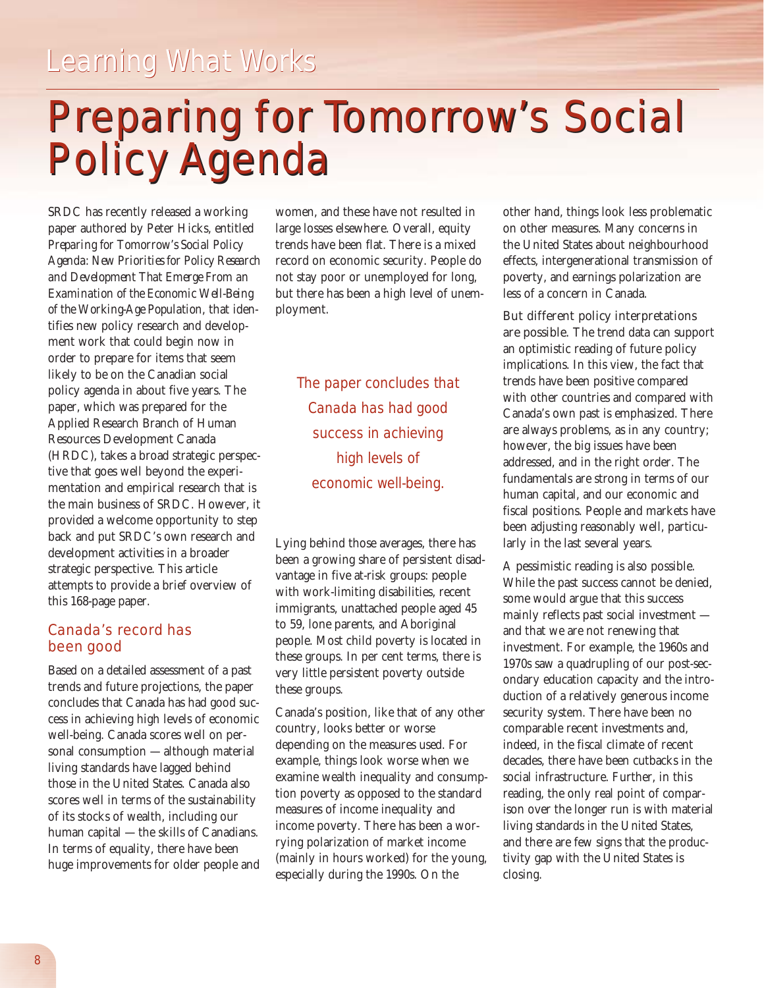*Learning What Works*

### Preparing for Tomorrow's Social Preparing for Tomorrow's Social Policy Agenda Policy Agenda

SRDC has recently released a working paper authored by Peter Hicks, entitled *Preparing for Tomorrow's Social Policy Agenda: New Priorities for Policy Research and Development That Emerge From an Examination of the Economic Well-Being of the Working-Age Population*, that identifies new policy research and development work that could begin now in order to prepare for items that seem likely to be on the Canadian social policy agenda in about five years. The paper, which was prepared for the Applied Research Branch of Human Resources Development Canada (HRDC), takes a broad strategic perspective that goes well beyond the experimentation and empirical research that is the main business of SRDC. However, it provided a welcome opportunity to step back and put SRDC's own research and development activities in a broader strategic perspective. This article attempts to provide a brief overview of this 168-page paper.

#### Canada's record has been good

Based on a detailed assessment of a past trends and future projections, the paper concludes that Canada has had good success in achieving high levels of economic well-being. Canada scores well on personal consumption — although material living standards have lagged behind those in the United States. Canada also scores well in terms of the sustainability of its stocks of wealth, including our human capital — the skills of Canadians. In terms of equality, there have been huge improvements for older people and women, and these have not resulted in large losses elsewhere. Overall, equity trends have been flat. There is a mixed record on economic security. People do not stay poor or unemployed for long, but there has been a high level of unemployment.

> *The paper concludes that Canada has had good success in achieving high levels of economic well-being.*

Lying behind those averages, there has been a growing share of persistent disadvantage in five at-risk groups: people with work-limiting disabilities, recent immigrants, unattached people aged 45 to 59, lone parents, and Aboriginal people. Most child poverty is located in these groups. In per cent terms, there is very little persistent poverty outside these groups.

Canada's position, like that of any other country, looks better or worse depending on the measures used. For example, things look worse when we examine wealth inequality and consumption poverty as opposed to the standard measures of income inequality and income poverty. There has been a worrying polarization of market income (mainly in hours worked) for the young, especially during the 1990s. On the

other hand, things look less problematic on other measures. Many concerns in the United States about neighbourhood effects, intergenerational transmission of poverty, and earnings polarization are less of a concern in Canada.

But different policy interpretations are possible. The trend data can support an optimistic reading of future policy implications. In this view, the fact that trends have been positive compared with other countries and compared with Canada's own past is emphasized. There are always problems, as in any country; however, the big issues have been addressed, and in the right order. The fundamentals are strong in terms of our human capital, and our economic and fiscal positions. People and markets have been adjusting reasonably well, particularly in the last several years.

A pessimistic reading is also possible. While the past success cannot be denied, some would argue that this success mainly reflects past social investment and that we are not renewing that investment. For example, the 1960s and 1970s saw a quadrupling of our post-secondary education capacity and the introduction of a relatively generous income security system. There have been no comparable recent investments and, indeed, in the fiscal climate of recent decades, there have been cutbacks in the social infrastructure. Further, in this reading, the only real point of comparison over the longer run is with material living standards in the United States, and there are few signs that the productivity gap with the United States is closing.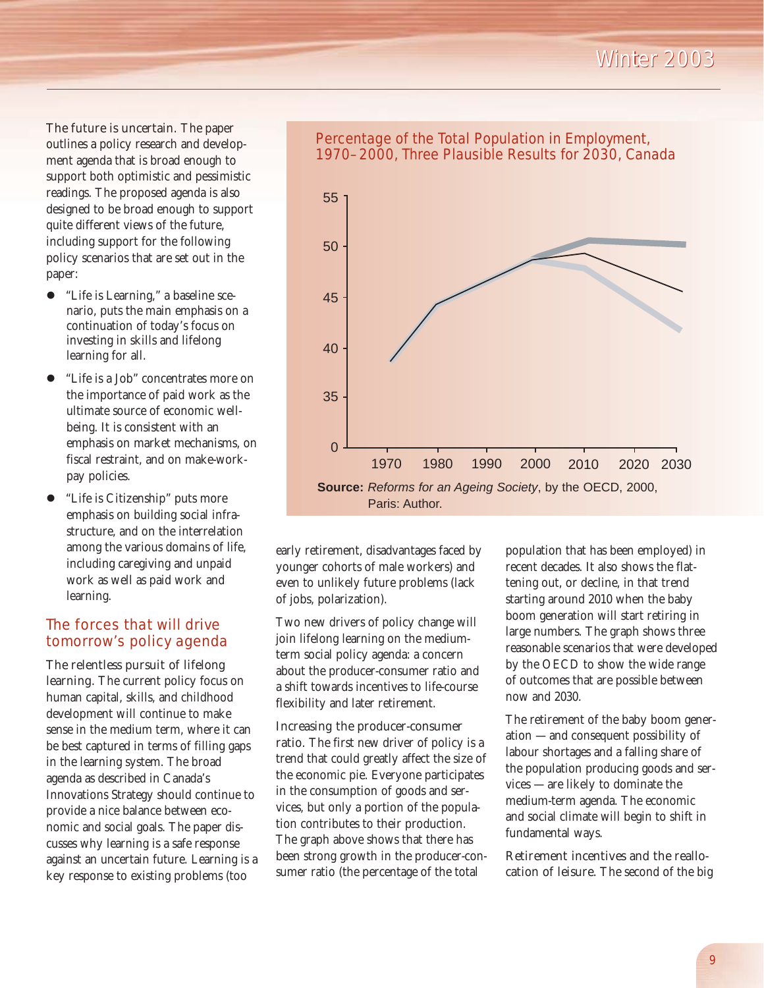*Winter 2003 Winter 2003*

The future is uncertain. The paper outlines a policy research and development agenda that is broad enough to support both optimistic and pessimistic readings. The proposed agenda is also designed to be broad enough to support quite different views of the future, including support for the following policy scenarios that are set out in the paper:

- $\bullet$  "Life is Learning," a baseline scenario, puts the main emphasis on a continuation of today's focus on investing in skills and lifelong learning for all.
- "Life is a Job" concentrates more on the importance of paid work as the ultimate source of economic wellbeing. It is consistent with an emphasis on market mechanisms, on fiscal restraint, and on make-workpay policies.
- "Life is Citizenship" puts more emphasis on building social infrastructure, and on the interrelation among the various domains of life, including caregiving and unpaid work as well as paid work and learning.

#### The forces that will drive tomorrow's policy agenda

The relentless pursuit of lifelong learning. The current policy focus on human capital, skills, and childhood development will continue to make sense in the medium term, where it can be best captured in terms of filling gaps in the learning system. The broad agenda as described in Canada's Innovations Strategy should continue to provide a nice balance between economic and social goals. The paper discusses why learning is a safe response against an uncertain future. Learning is a key response to existing problems (too



Percentage of the Total Population in Employment, 1970–2000, Three Plausible Results for 2030, Canada

early retirement, disadvantages faced by younger cohorts of male workers) and even to unlikely future problems (lack of jobs, polarization).

Two new drivers of policy change will join lifelong learning on the mediumterm social policy agenda: a concern about the producer-consumer ratio and a shift towards incentives to life-course flexibility and later retirement.

#### Increasing the producer-consumer

ratio. The first new driver of policy is a trend that could greatly affect the size of the economic pie. Everyone participates in the consumption of goods and services, but only a portion of the population contributes to their production. The graph above shows that there has been strong growth in the producer-consumer ratio (the percentage of the total

population that has been employed) in recent decades. It also shows the flattening out, or decline, in that trend starting around 2010 when the baby boom generation will start retiring in large numbers. The graph shows three reasonable scenarios that were developed by the OECD to show the wide range of outcomes that are possible between now and 2030.

The retirement of the baby boom generation — and consequent possibility of labour shortages and a falling share of the population producing goods and services — are likely to dominate the medium-term agenda. The economic and social climate will begin to shift in fundamental ways.

Retirement incentives and the reallocation of leisure. The second of the big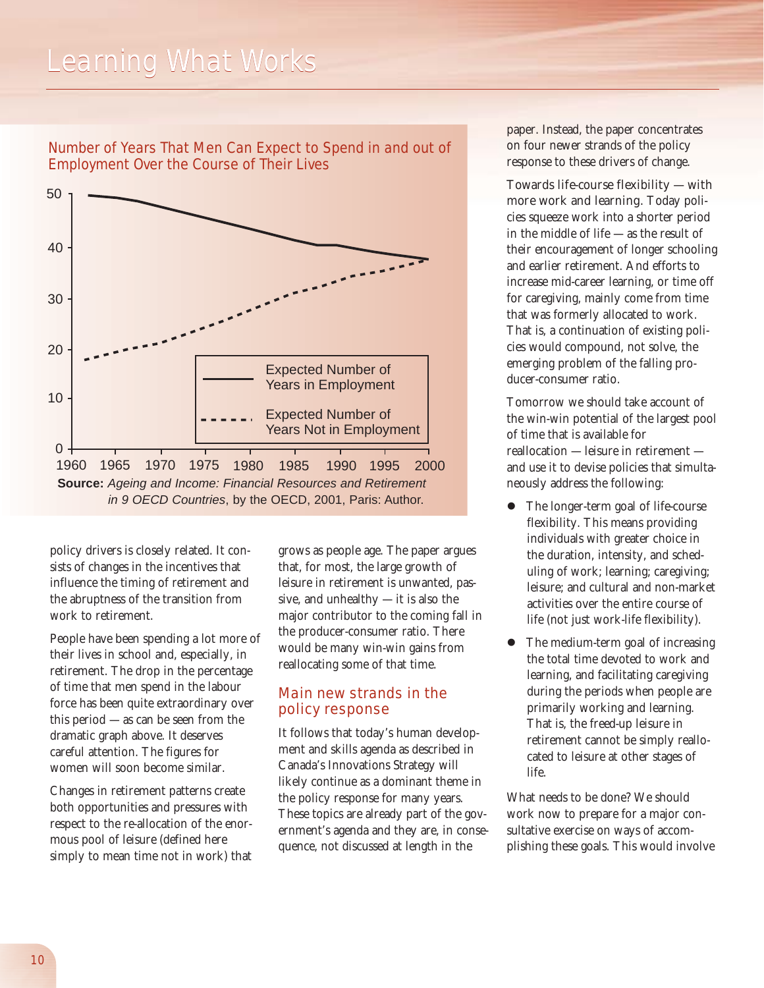### *Learning What Works*



Number of Years That Men Can Expect to Spend in and out of Employment Over the Course of Their Lives

policy drivers is closely related. It consists of changes in the incentives that influence the timing of retirement and the abruptness of the transition from work to retirement.

People have been spending a lot more of their lives in school and, especially, in retirement. The drop in the percentage of time that men spend in the labour force has been quite extraordinary over this period — as can be seen from the dramatic graph above. It deserves careful attention. The figures for women will soon become similar.

Changes in retirement patterns create both opportunities and pressures with respect to the re-allocation of the enormous pool of leisure (defined here simply to mean time not in work) that grows as people age. The paper argues that, for most, the large growth of leisure in retirement is unwanted, passive, and unhealthy — it is also the major contributor to the coming fall in the producer-consumer ratio. There would be many win-win gains from reallocating some of that time.

#### Main new strands in the policy response

It follows that today's human development and skills agenda as described in Canada's Innovations Strategy will likely continue as a dominant theme in the policy response for many years. These topics are already part of the government's agenda and they are, in consequence, not discussed at length in the

paper. Instead, the paper concentrates on four newer strands of the policy response to these drivers of change.

Towards life-course flexibility — with more work and learning. Today policies squeeze work into a shorter period in the middle of life — as the result of their encouragement of longer schooling and earlier retirement. And efforts to increase mid-career learning, or time off for caregiving, mainly come from time that was formerly allocated to work. That is, a continuation of existing policies would compound, not solve, the emerging problem of the falling producer-consumer ratio.

Tomorrow we should take account of the win-win potential of the largest pool of time that is available for reallocation — leisure in retirement and use it to devise policies that simultaneously address the following:

- The longer-term goal of life-course flexibility. This means providing individuals with greater choice in the duration, intensity, and scheduling of work; learning; caregiving; leisure; and cultural and non-market activities over the entire course of life (not just work-life flexibility).
- The medium-term goal of increasing the total time devoted to work and learning, and facilitating caregiving during the periods when people are primarily working and learning. That is, the freed-up leisure in retirement cannot be simply reallocated to leisure at other stages of life.

What needs to be done? We should work now to prepare for a major consultative exercise on ways of accomplishing these goals. This would involve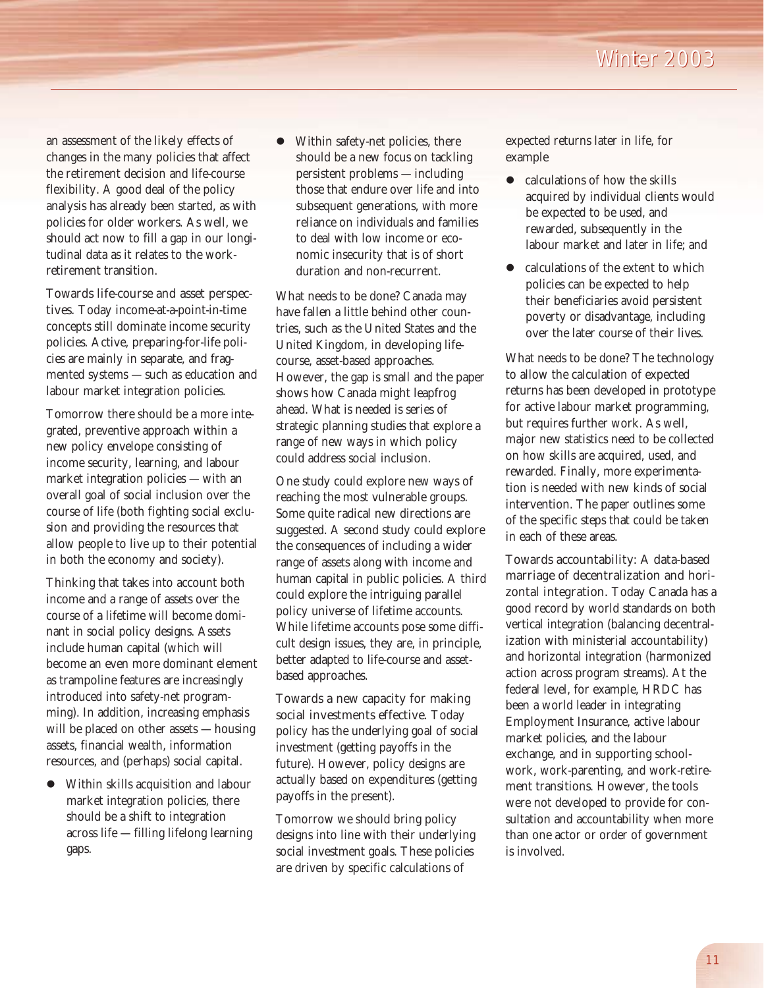an assessment of the likely effects of changes in the many policies that affect the retirement decision and life-course flexibility. A good deal of the policy analysis has already been started, as with policies for older workers. As well, we should act now to fill a gap in our longitudinal data as it relates to the workretirement transition.

#### Towards life-course and asset perspec-

tives. Today income-at-a-point-in-time concepts still dominate income security policies. Active, preparing-for-life policies are mainly in separate, and fragmented systems — such as education and labour market integration policies.

Tomorrow there should be a more integrated, preventive approach within a new policy envelope consisting of income security, learning, and labour market integration policies — with an overall goal of social inclusion over the course of life (both fighting social exclusion and providing the resources that allow people to live up to their potential in both the economy and society).

Thinking that takes into account both income and a range of assets over the course of a lifetime will become dominant in social policy designs. Assets include human capital (which will become an even more dominant element as trampoline features are increasingly introduced into safety-net programming). In addition, increasing emphasis will be placed on other assets — housing assets, financial wealth, information resources, and (perhaps) social capital.

 $\bullet$  Within skills acquisition and labour market integration policies, there should be a shift to integration across life — filling lifelong learning gaps.

Within safety-net policies, there should be a new focus on tackling persistent problems — including those that endure over life and into subsequent generations, with more reliance on individuals and families to deal with low income or economic insecurity that is of short duration and non-recurrent.

What needs to be done? Canada may have fallen a little behind other countries, such as the United States and the United Kingdom, in developing lifecourse, asset-based approaches. However, the gap is small and the paper shows how Canada might leapfrog ahead. What is needed is series of strategic planning studies that explore a range of new ways in which policy could address social inclusion.

One study could explore new ways of reaching the most vulnerable groups. Some quite radical new directions are suggested. A second study could explore the consequences of including a wider range of assets along with income and human capital in public policies. A third could explore the intriguing parallel policy universe of lifetime accounts. While lifetime accounts pose some difficult design issues, they are, in principle, better adapted to life-course and assetbased approaches.

Towards a new capacity for making social investments effective. Today policy has the underlying goal of social investment (getting payoffs in the future). However, policy designs are actually based on expenditures (getting payoffs in the present).

Tomorrow we should bring policy designs into line with their underlying social investment goals. These policies are driven by specific calculations of

expected returns later in life, for example

- $\bullet$  calculations of how the skills acquired by individual clients would be expected to be used, and rewarded, subsequently in the labour market and later in life; and
- calculations of the extent to which policies can be expected to help their beneficiaries avoid persistent poverty or disadvantage, including over the later course of their lives.

What needs to be done? The technology to allow the calculation of expected returns has been developed in prototype for active labour market programming, but requires further work. As well, major new statistics need to be collected on how skills are acquired, used, and rewarded. Finally, more experimentation is needed with new kinds of social intervention. The paper outlines some of the specific steps that could be taken in each of these areas.

Towards accountability: A data-based marriage of decentralization and horizontal integration. Today Canada has a good record by world standards on both vertical integration (balancing decentralization with ministerial accountability) and horizontal integration (harmonized action across program streams). At the federal level, for example, HRDC has been a world leader in integrating Employment Insurance, active labour market policies, and the labour exchange, and in supporting schoolwork, work-parenting, and work-retirement transitions. However, the tools were not developed to provide for consultation and accountability when more than one actor or order of government is involved.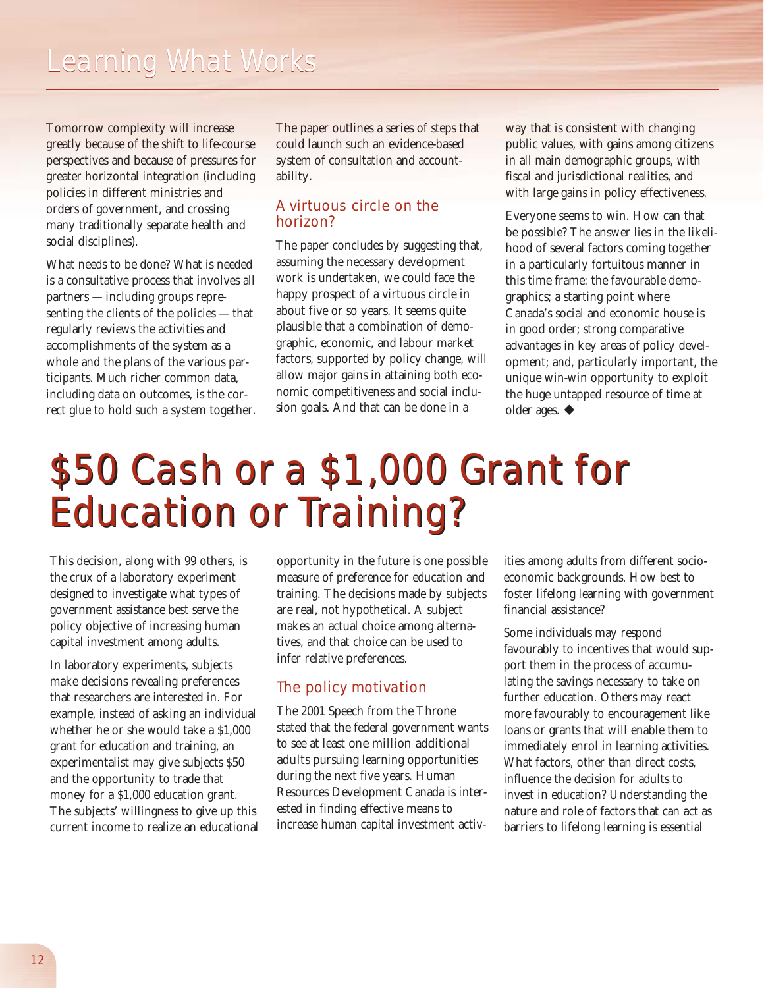Tomorrow complexity will increase greatly because of the shift to life-course perspectives and because of pressures for greater horizontal integration (including policies in different ministries and orders of government, and crossing many traditionally separate health and social disciplines).

What needs to be done? What is needed is a consultative process that involves all partners — including groups representing the clients of the policies — that regularly reviews the activities and accomplishments of the system as a whole and the plans of the various participants. Much richer common data, including data on outcomes, is the correct glue to hold such a system together. The paper outlines a series of steps that could launch such an evidence-based system of consultation and accountability.

#### A virtuous circle on the horizon?

The paper concludes by suggesting that, assuming the necessary development work is undertaken, we could face the happy prospect of a virtuous circle in about five or so years. It seems quite plausible that a combination of demographic, economic, and labour market factors, supported by policy change, will allow major gains in attaining both economic competitiveness and social inclusion goals. And that can be done in a

way that is consistent with changing public values, with gains among citizens in all main demographic groups, with fiscal and jurisdictional realities, and with large gains in policy effectiveness.

Everyone seems to win. How can that be possible? The answer lies in the likelihood of several factors coming together in a particularly fortuitous manner in this time frame: the favourable demographics; a starting point where Canada's social and economic house is in good order; strong comparative advantages in key areas of policy development; and, particularly important, the unique win-win opportunity to exploit the huge untapped resource of time at older ages.  $\blacklozenge$ 

# \$50 Cash or a \$1,000 Grant for \$50 Cash or a \$1,000 Grant for Education or Training? Education or Training?

This decision, along with 99 others, is the crux of a laboratory experiment designed to investigate what types of government assistance best serve the policy objective of increasing human capital investment among adults.

In laboratory experiments, subjects make decisions revealing preferences that researchers are interested in. For example, instead of asking an individual whether he or she would take a \$1,000 grant for education and training, an experimentalist may give subjects \$50 and the opportunity to trade that money for a \$1,000 education grant. The subjects' willingness to give up this current income to realize an educational

opportunity in the future is one possible measure of preference for education and training. The decisions made by subjects are real, not hypothetical. A subject makes an actual choice among alternatives, and that choice can be used to infer relative preferences.

#### The policy motivation

The 2001 Speech from the Throne stated that the federal government wants to see at least one million additional adults pursuing learning opportunities during the next five years. Human Resources Development Canada is interested in finding effective means to increase human capital investment activities among adults from different socioeconomic backgrounds. How best to foster lifelong learning with government financial assistance?

Some individuals may respond favourably to incentives that would support them in the process of accumulating the savings necessary to take on further education. Others may react more favourably to encouragement like loans or grants that will enable them to immediately enrol in learning activities. What factors, other than direct costs, influence the decision for adults to invest in education? Understanding the nature and role of factors that can act as barriers to lifelong learning is essential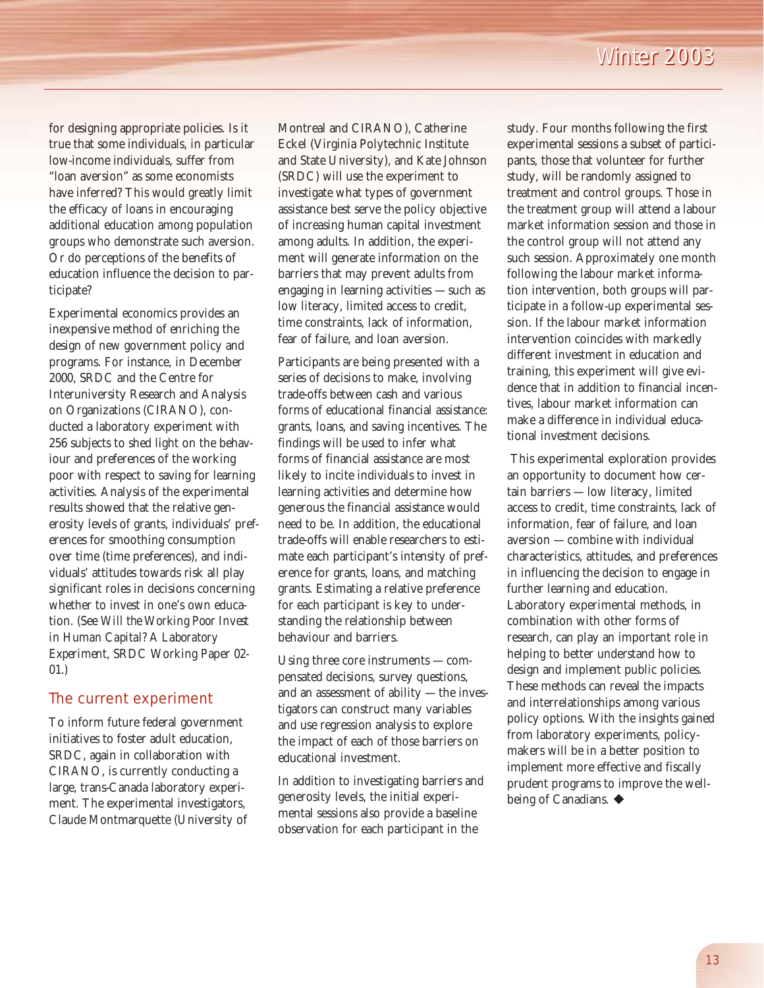for designing appropriate policies. Is it true that some individuals, in particular low-income individuals, suffer from "loan aversion" as some economists have inferred? This would greatly limit the efficacy of loans in encouraging additional education among population groups who demonstrate such aversion. Or do perceptions of the benefits of education influence the decision to participate?

Experimental economics provides an inexpensive method of enriching the design of new government policy and programs. For instance, in December 2000, SRDC and the Centre for Interuniversity Research and Analysis on Organizations (CIRANO), conducted a laboratory experiment with 256 subjects to shed light on the behaviour and preferences of the working poor with respect to saving for learning activities. Analysis of the experimental results showed that the relative generosity levels of grants, individuals' preferences for smoothing consumption over time (time preferences), and individuals' attitudes towards risk all play significant roles in decisions concerning whether to invest in one's own education. (See *Will the Working Poor Invest in Human Capital? A Laboratory Experiment*, SRDC Working Paper 02- 01.)

#### The current experiment

To inform future federal government initiatives to foster adult education, SRDC, again in collaboration with CIRANO, is currently conducting a large, trans-Canada laboratory experiment. The experimental investigators, Claude Montmarquette (University of Montreal and CIRANO), Catherine Eckel (Virginia Polytechnic Institute and State University), and Kate Johnson (SRDC) will use the experiment to investigate what types of government assistance best serve the policy objective of increasing human capital investment among adults. In addition, the experiment will generate information on the barriers that may prevent adults from engaging in learning activities — such as low literacy, limited access to credit, time constraints, lack of information, fear of failure, and loan aversion.

Participants are being presented with a series of decisions to make, involving trade-offs between cash and various forms of educational financial assistance: grants, loans, and saving incentives. The findings will be used to infer what forms of financial assistance are most likely to incite individuals to invest in learning activities and determine how generous the financial assistance would need to be. In addition, the educational trade-offs will enable researchers to estimate each participant's intensity of preference for grants, loans, and matching grants. Estimating a relative preference for each participant is key to understanding the relationship between behaviour and barriers.

Using three core instruments — compensated decisions, survey questions, and an assessment of ability — the investigators can construct many variables and use regression analysis to explore the impact of each of those barriers on educational investment.

In addition to investigating barriers and generosity levels, the initial experimental sessions also provide a baseline observation for each participant in the

study. Four months following the first experimental sessions a subset of participants, those that volunteer for further study, will be randomly assigned to treatment and control groups. Those in the treatment group will attend a labour market information session and those in the control group will not attend any such session. Approximately one month following the labour market information intervention, both groups will participate in a follow-up experimental session. If the labour market information intervention coincides with markedly different investment in education and training, this experiment will give evidence that in addition to financial incentives, labour market information can make a difference in individual educational investment decisions.

This experimental exploration provides an opportunity to document how certain barriers — low literacy, limited access to credit, time constraints, lack of information, fear of failure, and loan aversion — combine with individual characteristics, attitudes, and preferences in influencing the decision to engage in further learning and education. Laboratory experimental methods, in combination with other forms of research, can play an important role in helping to better understand how to design and implement public policies. These methods can reveal the impacts and interrelationships among various policy options. With the insights gained from laboratory experiments, policymakers will be in a better position to implement more effective and fiscally prudent programs to improve the wellbeing of Canadians.  $\triangleleft$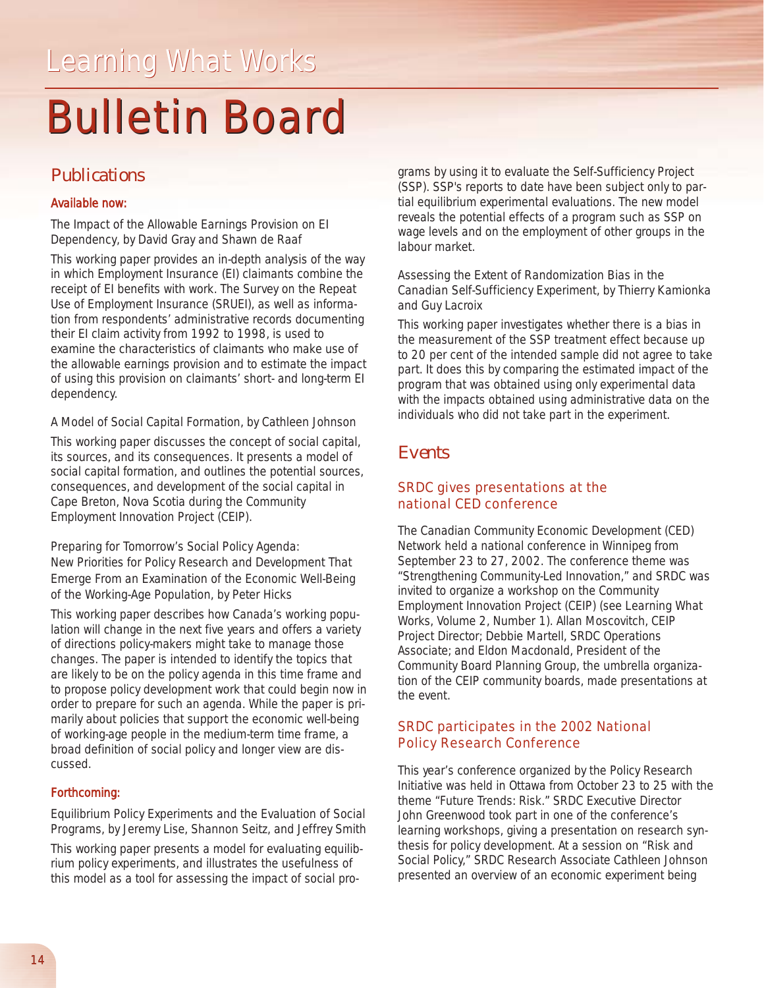# **Bulletin Board**

### *Publications*

#### *Available now:*

*The Impact of the Allowable Earnings Provision on EI Dependency*, by David Gray and Shawn de Raaf

This working paper provides an in-depth analysis of the way in which Employment Insurance (EI) claimants combine the receipt of EI benefits with work. The Survey on the Repeat Use of Employment Insurance (SRUEI), as well as information from respondents' administrative records documenting their EI claim activity from 1992 to 1998, is used to examine the characteristics of claimants who make use of the allowable earnings provision and to estimate the impact of using this provision on claimants' short- and long-term EI dependency.

#### *A Model of Social Capital Formation*, by Cathleen Johnson

This working paper discusses the concept of social capital, its sources, and its consequences. It presents a model of social capital formation, and outlines the potential sources, consequences, and development of the social capital in Cape Breton, Nova Scotia during the Community Employment Innovation Project (CEIP).

*Preparing for Tomorrow's Social Policy Agenda: New Priorities for Policy Research and Development That Emerge From an Examination of the Economic Well-Being of the Working-Age Population*, by Peter Hicks

This working paper describes how Canada's working population will change in the next five years and offers a variety of directions policy-makers might take to manage those changes. The paper is intended to identify the topics that are likely to be on the policy agenda in this time frame and to propose policy development work that could begin now in order to prepare for such an agenda. While the paper is primarily about policies that support the economic well-being of working-age people in the medium-term time frame, a broad definition of social policy and longer view are discussed.

#### *Forthcoming:*

*Equilibrium Policy Experiments and the Evaluation of Social Programs*, by Jeremy Lise, Shannon Seitz, and Jeffrey Smith

This working paper presents a model for evaluating equilibrium policy experiments, and illustrates the usefulness of this model as a tool for assessing the impact of social programs by using it to evaluate the Self-Sufficiency Project (SSP). SSP's reports to date have been subject only to partial equilibrium experimental evaluations. The new model reveals the potential effects of a program such as SSP on wage levels and on the employment of other groups in the labour market.

*Assessing the Extent of Randomization Bias in the Canadian Self-Sufficiency Experiment*, by Thierry Kamionka and Guy Lacroix

This working paper investigates whether there is a bias in the measurement of the SSP treatment effect because up to 20 per cent of the intended sample did not agree to take part. It does this by comparing the estimated impact of the program that was obtained using only experimental data with the impacts obtained using administrative data on the individuals who did not take part in the experiment.

#### *Events*

#### SRDC gives presentations at the national CED conference

The Canadian Community Economic Development (CED) Network held a national conference in Winnipeg from September 23 to 27, 2002. The conference theme was "Strengthening Community-Led Innovation," and SRDC was invited to organize a workshop on the Community Employment Innovation Project (CEIP) (see *Learning What Works, Volume 2, Number 1*). Allan Moscovitch, CEIP Project Director; Debbie Martell, SRDC Operations Associate; and Eldon Macdonald, President of the Community Board Planning Group, the umbrella organization of the CEIP community boards, made presentations at the event.

#### SRDC participates in the 2002 National Policy Research Conference

This year's conference organized by the Policy Research Initiative was held in Ottawa from October 23 to 25 with the theme "Future Trends: Risk." SRDC Executive Director John Greenwood took part in one of the conference's learning workshops, giving a presentation on research synthesis for policy development. At a session on "Risk and Social Policy," SRDC Research Associate Cathleen Johnson presented an overview of an economic experiment being